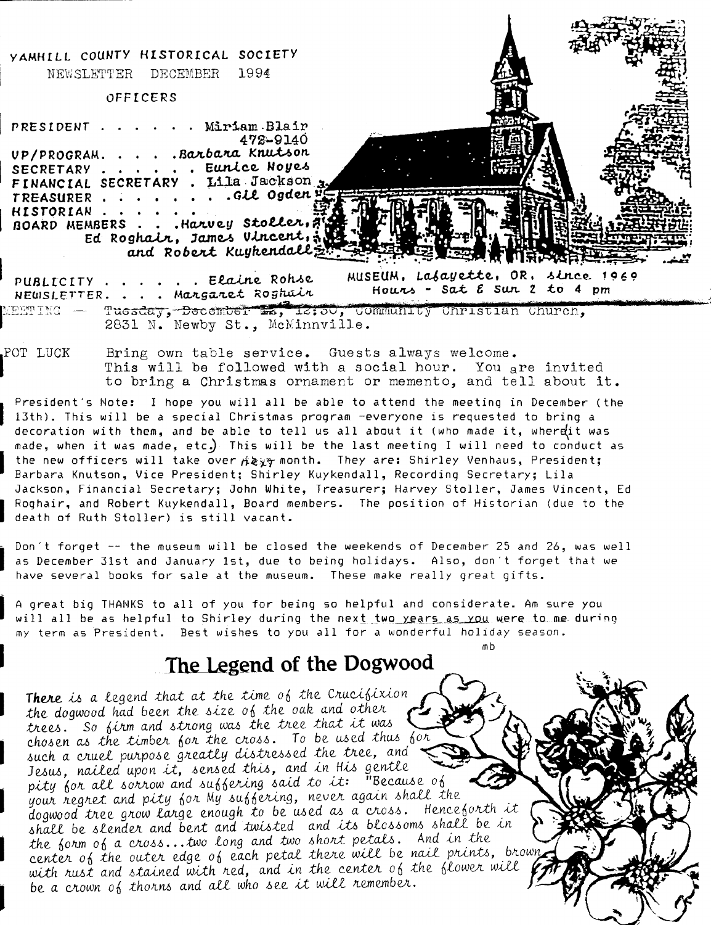

This will be followed with a social hour. You are invited to bring a Christmas ornament or memento, and tell about it.

President's Note: I hope you will all be able to attend the meeting in December (the 13th). This will be a special Christmas program -everyone is requested to bring a decoration with them, and be able to tell us all about it (who made it, wherett was made, when it was made, etc.) This will be the last meeting I will need to conduct as the new officers will take over  $\#$  ay month. They are: Shirley Venhaus, President; Barbara Knutson, Vice President: Shirley Kuykendall, Recording Secretary; Lila Jackson, Financial Secretary; John White, Treasurer; Harvey Stoller, James Vincent, Ed Roghair, and Robert Kuykendall, Board members. The position of Historian (due to the death of Ruth Stoller) is still vacant.

Don't forget -- the museum will be closed the weekends of December 25 and 26, was well as December 31st and January 1st, due to being holidays. Also, don't forget that we have several books for sale at the museum. These make really great gifts.

A great big THANKS to all of you for being so helpful and considerate. Am sure you will all be as helpful to Shirley during the next two years as you were to me during my term as President. Best wishes to you all for a wonderful holiday season.

 $m<sub>h</sub>$ 

## The Legend of the Dogwood

There is a legend that at the time of the Crucifixion the dogwood had been the size of the oak and other trees. So firm and strong was the tree that it was chosen as the timber for the cross. To be used thus for such a cruel purpose greatly distressed the tree, and Jesus, nailed upon it, sensed this, and in His gentle pity for all sorrow and suffering said to it: "Because of your regret and pity for My suffering, never again shall the dogwood tree grow large enough to be used as a cross. Henceforth it shall be slender and bent and twisted and its blossoms shall be in the form of a cross... two long and two short petals. And in the center of the outer edge of each petal there will be nail prints, brown with rust and stained with red, and in the center of the flower will be a crown of thorns and all who see it will remember.